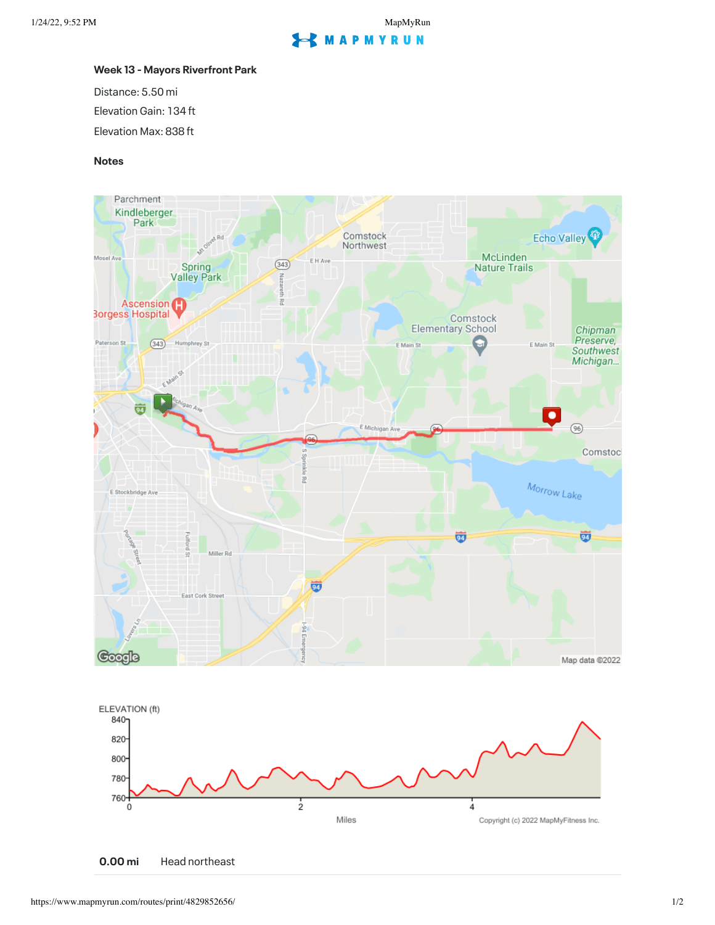## **EXMAPMYRUN**

## **Week 13 - Mayors Riverfront Park**

Distance: 5.50 mi Elevation Gain: 134 ft Elevation Max: 838 ft

## **Notes**